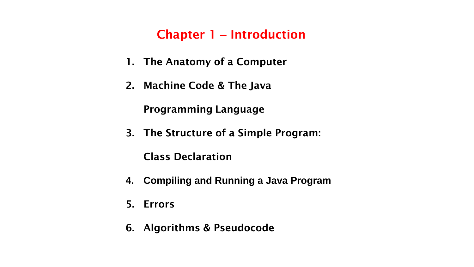## **Chapter 1** – **Introduction**

- **1. The Anatomy of a Computer**
- **2. Machine Code & The Java**

**Programming Language**

**3. The Structure of a Simple Program:** 

**Class Declaration**

- **4. Compiling and Running a Java Program**
- **5. Errors**
- **6. Algorithms & Pseudocode**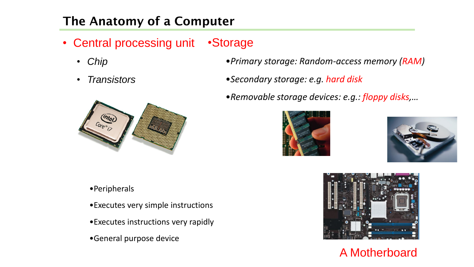# **The Anatomy of a Computer**

- Central processing unit Storage
	- *Chip*
	- *Transistors*



- •*Primary storage: Random-access memory (RAM)*
- •*Secondary storage: e.g. hard disk*
- •*Removable storage devices: e.g.: floppy disks,…*





- •Peripherals
- •Executes very simple instructions
- •Executes instructions very rapidly
- •General purpose device



A Motherboard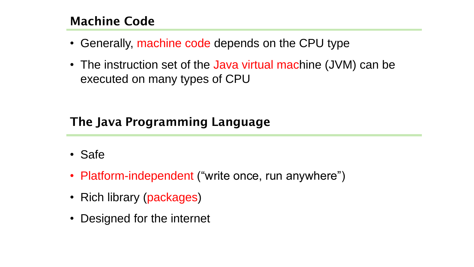## **Machine Code**

- Generally, machine code depends on the CPU type
- The instruction set of the Java virtual machine (JVM) can be executed on many types of CPU

## **The Java Programming Language**

- Safe
- Platform-independent ("write once, run anywhere")
- Rich library (packages)
- Designed for the internet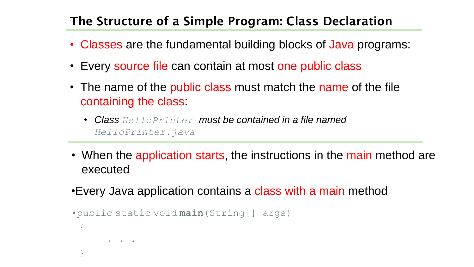## **The Structure of a Simple Program: Class Declaration**

- Classes are the fundamental building blocks of Java programs:
- Every source file can contain at most one public class
- The name of the public class must match the name of the file containing the class:
	- *Class HelloPrinter must be contained in a file named HelloPrinter.java*
- When the application starts, the instructions in the main method are executed
- •Every Java application contains a class with a main method

```
•public static void main(String[] args)
{
         \bullet \qquad \bullet \qquad \bullet}
```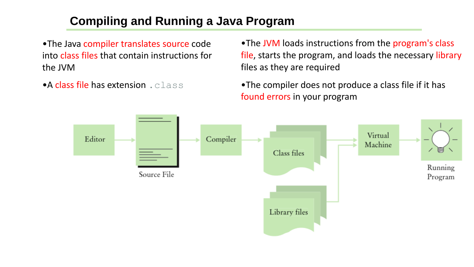## **Compiling and Running a Java Program**

•The Java compiler translates source code into class files that contain instructions for the JVM

•A class file has extension .class

•The JVM loads instructions from the program's class file, starts the program, and loads the necessary library files as they are required

•The compiler does not produce a class file if it has found errors in your program

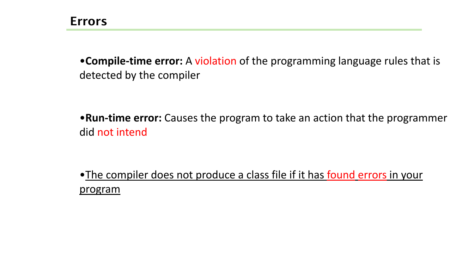•**Compile-time error:** A violation of the programming language rules that is detected by the compiler

•**Run-time error:** Causes the program to take an action that the programmer did not intend

•The compiler does not produce a class file if it has found errors in your program